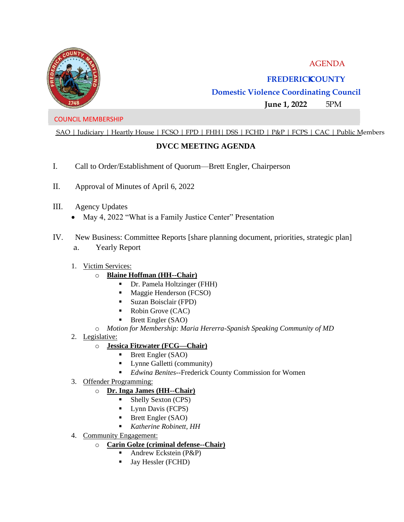



## **FREDERICKCOUNTY**

# **Domestic Violence Coordinating Council**

**June 1, 2022** 5PM

#### COUNCIL MEMBERSHIP

SAO | Judiciary | Heartly House | FCSO | FPD | FHH| DSS | FCHD | P&P | FCPS | CAC | Public Members

### **DVCC MEETING AGENDA**

- I. Call to Order/Establishment of Quorum—Brett Engler, Chairperson
- II. Approval of Minutes of April 6, 2022
- III. Agency Updates
	- May 4, 2022 "What is a Family Justice Center" Presentation
- IV. New Business: Committee Reports [share planning document, priorities, strategic plan]
	- a. Yearly Report
	- 1. Victim Services:
		- o **Blaine Hoffman (HH--Chair)** 
			- Dr. Pamela Holtzinger (FHH)
			- **■** Maggie Henderson (FCSO)
			- Suzan Boisclair (FPD)
			- Robin Grove (CAC)
			- Brett Engler (SAO)
		- o *Motion for Membership: Maria Hererra-Spanish Speaking Community of MD*
	- 2. Legislative:

### o **Jessica Fitzwater (FCG—Chair)**

- Brett Engler (SAO)
- Lynne Galletti (community)
- *Edwina Benites*--Frederick County Commission for Women
- 3. Offender Programming:
	- o **Dr. Inga James (HH--Chair)** 
		- Shelly Sexton (CPS)
		- **•** Lynn Davis (FCPS)
		- Brett Engler (SAO)
		- *Katherine Robinett, HH*
- 4. Community Engagement:
	- o **Carin Golze (criminal defense--Chair)** 
		- Andrew Eckstein (P&P)
		- **•** Jay Hessler (FCHD)